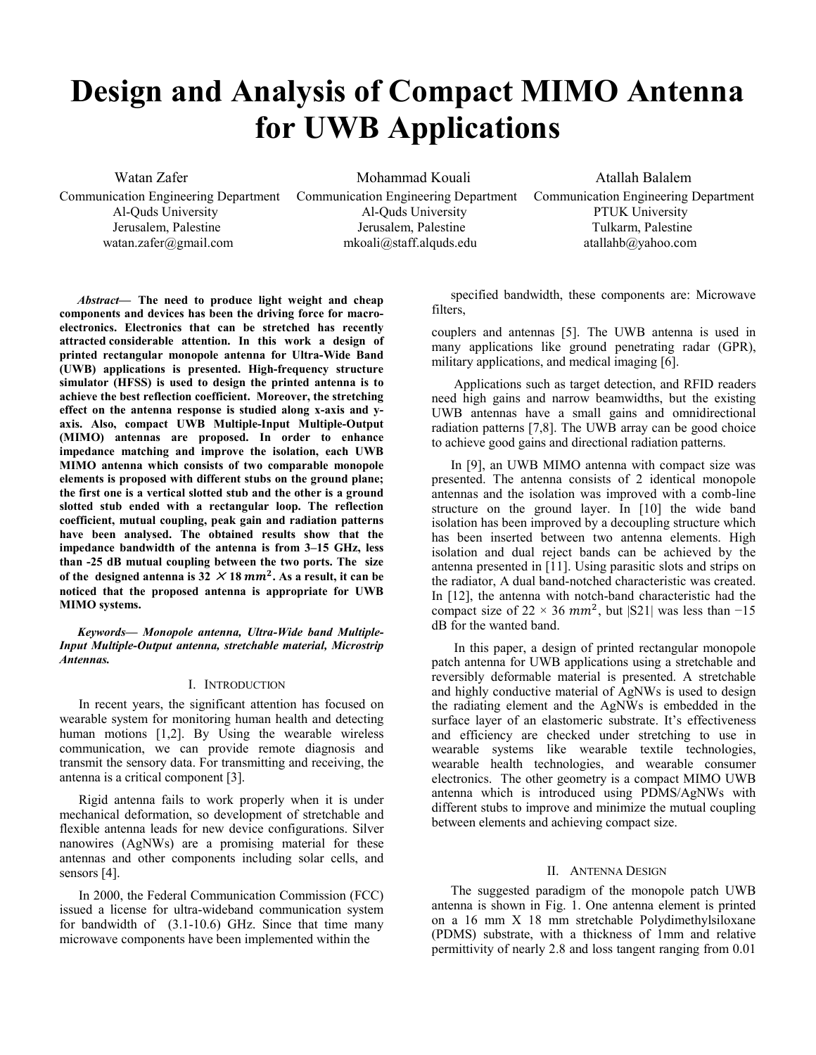# **Design and Analysis of Compact MIMO Antenna for UWB Applications**

Communication Engineering Department Communication Engineering Department Communication Engineering Department

 Al-Quds University Al-Quds University PTUK University Jerusalem, Palestine Jerusalem, Palestine Tulkarm, Palestine watan.zafer@gmail.com mkoali@staff.alquds.edu atallahb@yahoo.com

Watan Zafer **Mohammad Kouali** Atallah Balalem

*Abstract***— The need to produce light weight and cheap components and devices has been the driving force for macroelectronics. Electronics that can be stretched has recently attracted considerable attention. In this work a design of printed rectangular monopole antenna for Ultra-Wide Band (UWB) applications is presented. High-frequency structure simulator (HFSS) is used to design the printed antenna is to achieve the best reflection coefficient. Moreover, the stretching effect on the antenna response is studied along x-axis and yaxis. Also, compact UWB Multiple-Input Multiple-Output (MIMO) antennas are proposed. In order to enhance impedance matching and improve the isolation, each UWB MIMO antenna which consists of two comparable monopole elements is proposed with different stubs on the ground plane; the first one is a vertical slotted stub and the other is a ground slotted stub ended with a rectangular loop. The reflection coefficient, mutual coupling, peak gain and radiation patterns have been analysed. The obtained results show that the impedance bandwidth of the antenna is from 3–15 GHz, less than -25 dB mutual coupling between the two ports. The size**  of the designed antenna is  $32 \times 18$  mm<sup>2</sup>. As a result, it can be **noticed that the proposed antenna is appropriate for UWB MIMO systems.** 

*Keywords— Monopole antenna, Ultra-Wide band Multiple-Input Multiple-Output antenna, stretchable material, Microstrip Antennas.* 

### I. INTRODUCTION

In recent years, the significant attention has focused on wearable system for monitoring human health and detecting human motions [1,2]. By Using the wearable wireless communication, we can provide remote diagnosis and transmit the sensory data. For transmitting and receiving, the antenna is a critical component [3].

Rigid antenna fails to work properly when it is under mechanical deformation, so development of stretchable and flexible antenna leads for new device configurations. Silver nanowires (AgNWs) are a promising material for these antennas and other components including solar cells, and sensors [4].

In 2000, the Federal Communication Commission (FCC) issued a license for ultra-wideband communication system for bandwidth of (3.1-10.6) GHz. Since that time many microwave components have been implemented within the

specified bandwidth, these components are: Microwave filters,

couplers and antennas [5]. The UWB antenna is used in many applications like ground penetrating radar (GPR), military applications, and medical imaging [6].

 Applications such as target detection, and RFID readers need high gains and narrow beamwidths, but the existing UWB antennas have a small gains and omnidirectional radiation patterns [7,8]. The UWB array can be good choice to achieve good gains and directional radiation patterns.

In [9], an UWB MIMO antenna with compact size was presented. The antenna consists of 2 identical monopole antennas and the isolation was improved with a comb-line structure on the ground layer. In [10] the wide band isolation has been improved by a decoupling structure which has been inserted between two antenna elements. High isolation and dual reject bands can be achieved by the antenna presented in [11]. Using parasitic slots and strips on the radiator, A dual band-notched characteristic was created. In [12], the antenna with notch-band characteristic had the compact size of 22 × 36  $mm^2$ , but |S21| was less than -15 dB for the wanted band.

 In this paper, a design of printed rectangular monopole patch antenna for UWB applications using a stretchable and reversibly deformable material is presented. A stretchable and highly conductive material of AgNWs is used to design the radiating element and the AgNWs is embedded in the surface layer of an elastomeric substrate. It's effectiveness and efficiency are checked under stretching to use in wearable systems like wearable textile technologies, wearable health technologies, and wearable consumer electronics. The other geometry is a compact MIMO UWB antenna which is introduced using PDMS/AgNWs with different stubs to improve and minimize the mutual coupling between elements and achieving compact size.

## II. ANTENNA DESIGN

The suggested paradigm of the monopole patch UWB antenna is shown in Fig. 1. One antenna element is printed on a 16 mm X 18 mm stretchable Polydimethylsiloxane (PDMS) substrate, with a thickness of 1mm and relative permittivity of nearly 2.8 and loss tangent ranging from 0.01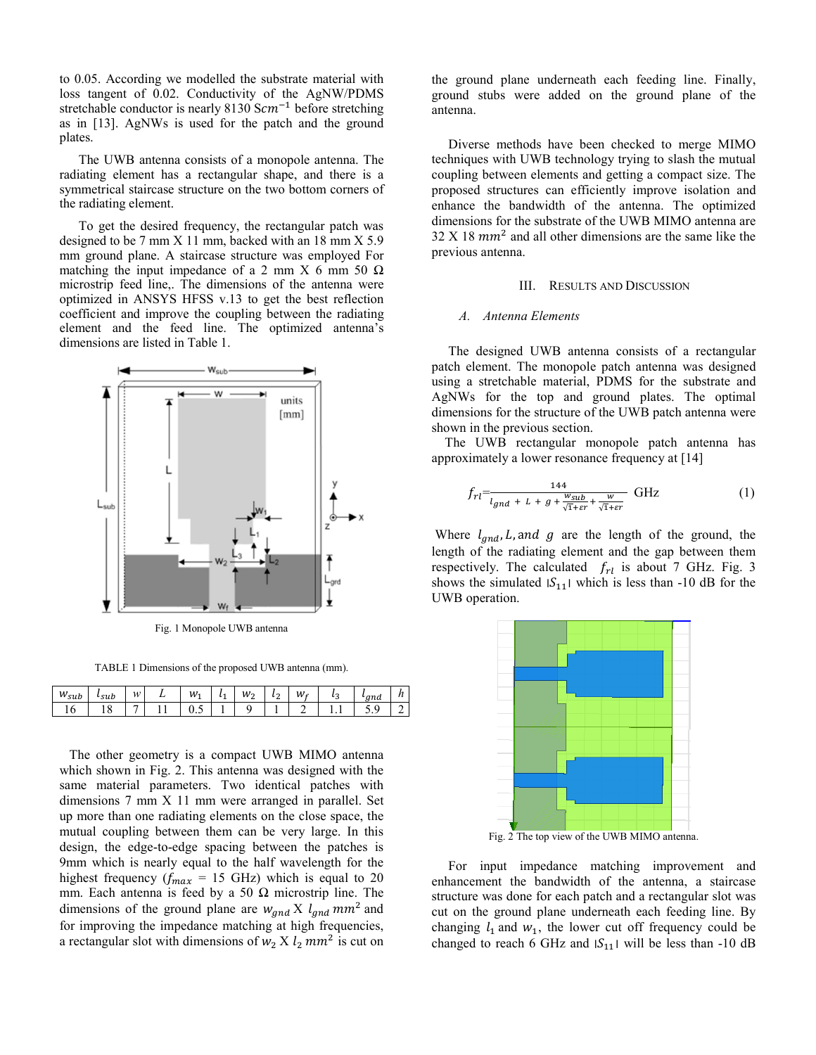to 0.05. According we modelled the substrate material with loss tangent of 0.02. Conductivity of the AgNW/PDMS stretchable conductor is nearly 8130  $Scm^{-1}$  before stretching as in [13]. AgNWs is used for the patch and the ground plates.

The UWB antenna consists of a monopole antenna. The radiating element has a rectangular shape, and there is a symmetrical staircase structure on the two bottom corners of the radiating element.

To get the desired frequency, the rectangular patch was designed to be 7 mm X 11 mm, backed with an 18 mm X 5.9 mm ground plane. A staircase structure was employed For matching the input impedance of a 2 mm X 6 mm 50  $\Omega$ microstrip feed line,. The dimensions of the antenna were optimized in ANSYS HFSS v.13 to get the best reflection coefficient and improve the coupling between the radiating element and the feed line. The optimized antenna's dimensions are listed in Table 1.



Fig. 1 Monopole UWB antenna

TABLE 1 Dimensions of the proposed UWB antenna (mm).

| w<br>$\sim$<br><b>CLA</b><br>suv | s u v | w                                                                                                                                                                                                                                                                                                                                                                                                                                                                               | . . | M<br><b>.</b> | M<br>∼ | L,<br>∼ | w<br>- | ت   | , |  |
|----------------------------------|-------|---------------------------------------------------------------------------------------------------------------------------------------------------------------------------------------------------------------------------------------------------------------------------------------------------------------------------------------------------------------------------------------------------------------------------------------------------------------------------------|-----|---------------|--------|---------|--------|-----|---|--|
| $\sim$                           |       | $\frac{1}{2} \left( \frac{1}{2} \right) \left( \frac{1}{2} \right) \left( \frac{1}{2} \right) \left( \frac{1}{2} \right) \left( \frac{1}{2} \right) \left( \frac{1}{2} \right) \left( \frac{1}{2} \right) \left( \frac{1}{2} \right) \left( \frac{1}{2} \right) \left( \frac{1}{2} \right) \left( \frac{1}{2} \right) \left( \frac{1}{2} \right) \left( \frac{1}{2} \right) \left( \frac{1}{2} \right) \left( \frac{1}{2} \right) \left( \frac{1}{2} \right) \left( \frac$<br>- |     | ◡.◡           |        |         |        | . . | ັ |  |

 The other geometry is a compact UWB MIMO antenna which shown in Fig. 2. This antenna was designed with the same material parameters. Two identical patches with dimensions 7 mm X 11 mm were arranged in parallel. Set up more than one radiating elements on the close space, the mutual coupling between them can be very large. In this design, the edge-to-edge spacing between the patches is 9mm which is nearly equal to the half wavelength for the highest frequency ( $f_{max}$  = 15 GHz) which is equal to 20 mm. Each antenna is feed by a 50  $\Omega$  microstrip line. The dimensions of the ground plane are  $w_{and} X l_{and} m m^2$  and for improving the impedance matching at high frequencies, a rectangular slot with dimensions of  $w_2 X l_2 m m^2$  is cut on

the ground plane underneath each feeding line. Finally, ground stubs were added on the ground plane of the antenna.

 Diverse methods have been checked to merge MIMO techniques with UWB technology trying to slash the mutual coupling between elements and getting a compact size. The proposed structures can efficiently improve isolation and enhance the bandwidth of the antenna. The optimized dimensions for the substrate of the UWB MIMO antenna are  $32$  X 18  $mm<sup>2</sup>$  and all other dimensions are the same like the previous antenna.

## III. RESULTS AND DISCUSSION

## *A. Antenna Elements*

 The designed UWB antenna consists of a rectangular patch element. The monopole patch antenna was designed using a stretchable material, PDMS for the substrate and AgNWs for the top and ground plates. The optimal dimensions for the structure of the UWB patch antenna were shown in the previous section.

 The UWB rectangular monopole patch antenna has approximately a lower resonance frequency at [14]

$$
f_{rl} = \frac{144}{l_{gnd} + L + g + \frac{w_{sub}}{\sqrt{1 + \varepsilon r}} + \frac{w}{\sqrt{1 + \varepsilon r}}} \text{ GHz}
$$
 (1)

Where  $l_{and}$ , L, and g are the length of the ground, the length of the radiating element and the gap between them respectively. The calculated  $f_{rl}$  is about 7 GHz. Fig. 3 shows the simulated  $|S_{11}|$  which is less than -10 dB for the UWB operation.



Fig. 2 The top view of the UWB MIMO antenna.

 For input impedance matching improvement and enhancement the bandwidth of the antenna, a staircase structure was done for each patch and a rectangular slot was cut on the ground plane underneath each feeding line. By changing  $l_1$  and  $w_1$ , the lower cut off frequency could be changed to reach 6 GHz and  $|S_{11}|$  will be less than -10 dB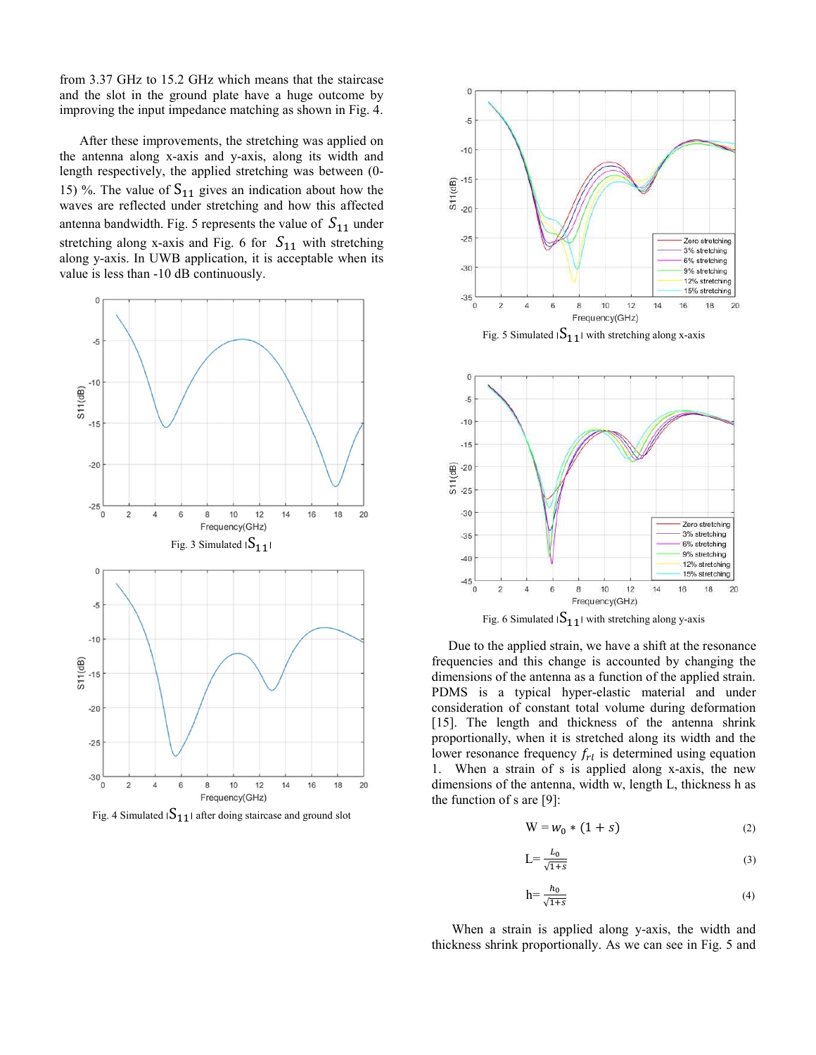from 3.37 GHz to 15.2 GHz which means that the staircase and the slot in the ground plate have a huge outcome by improving the input impedance matching as shown in Fig. 4.

 After these improvements, the stretching was applied on the antenna along x-axis and y-axis, along its width and length respectively, the applied stretching was between (0- 15) %. The value of  $S_{11}$  gives an indication about how the waves are reflected under stretching and how this affected antenna bandwidth. Fig. 5 represents the value of  $S_{11}$  under stretching along x-axis and Fig. 6 for  $S_{11}$  with stretching along y-axis. In UWB application, it is acceptable when its value is less than -10 dB continuously.



Fig. 4 Simulated  $|S_{11}|$  after doing staircase and ground slot



Fig. 5 Simulated  $|S_{11}|$  with stretching along x-axis



 Due to the applied strain, we have a shift at the resonance frequencies and this change is accounted by changing the dimensions of the antenna as a function of the applied strain. PDMS is a typical hyper-elastic material and under consideration of constant total volume during deformation [15]. The length and thickness of the antenna shrink proportionally, when it is stretched along its width and the lower resonance frequency  $f_{rl}$  is determined using equation 1. When a strain of s is applied along x-axis, the new dimensions of the antenna, width w, length L, thickness h as the function of s are [9]:

$$
W = w_0 * (1 + s) \tag{2}
$$

$$
L = \frac{L_0}{\sqrt{1+s}}\tag{3}
$$

$$
h = \frac{h_0}{\sqrt{1+s}}\tag{4}
$$

 When a strain is applied along y-axis, the width and thickness shrink proportionally. As we can see in Fig. 5 and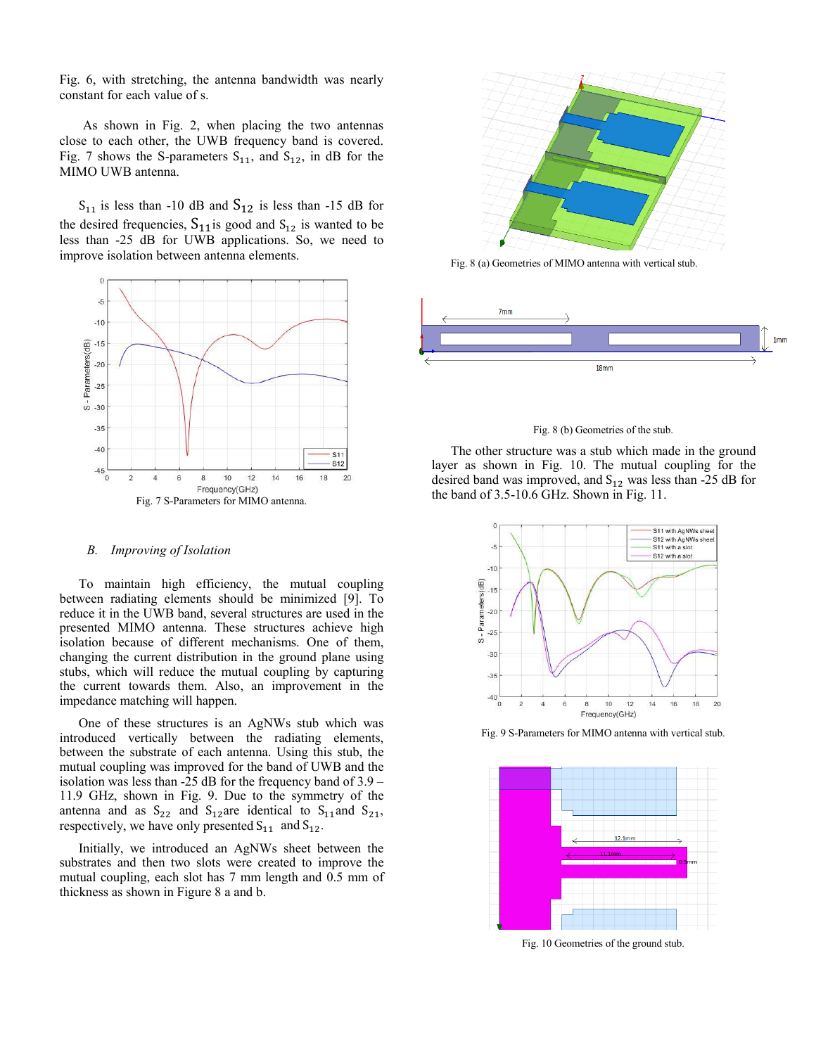Fig. 6, with stretching, the antenna bandwidth was nearly constant for each value of s.

 As shown in Fig. 2, when placing the two antennas close to each other, the UWB frequency band is covered. Fig. 7 shows the S-parameters  $S_{11}$ , and  $S_{12}$ , in dB for the MIMO UWB antenna.

 $S_{11}$  is less than -10 dB and  $S_{12}$  is less than -15 dB for the desired frequencies,  $S_{11}$  is good and  $S_{12}$  is wanted to be less than -25 dB for UWB applications. So, we need to improve isolation between antenna elements.



## *B. Improving of Isolation*

To maintain high efficiency, the mutual coupling between radiating elements should be minimized [9]. To reduce it in the UWB band, several structures are used in the presented MIMO antenna. These structures achieve high isolation because of different mechanisms. One of them, changing the current distribution in the ground plane using stubs, which will reduce the mutual coupling by capturing the current towards them. Also, an improvement in the impedance matching will happen.

One of these structures is an AgNWs stub which was introduced vertically between the radiating elements, between the substrate of each antenna. Using this stub, the mutual coupling was improved for the band of UWB and the isolation was less than -25 dB for the frequency band of 3.9 – 11.9 GHz, shown in Fig. 9. Due to the symmetry of the antenna and as  $S_{22}$  and  $S_{12}$  are identical to  $S_{11}$  and  $S_{21}$ , respectively, we have only presented  $S_{11}$  and  $S_{12}$ .

Initially, we introduced an AgNWs sheet between the substrates and then two slots were created to improve the mutual coupling, each slot has 7 mm length and 0.5 mm of thickness as shown in Figure 8 a and b.



Fig. 8 (a) Geometries of MIMO antenna with vertical stub.



#### Fig. 8 (b) Geometries of the stub.

The other structure was a stub which made in the ground layer as shown in Fig. 10. The mutual coupling for the desired band was improved, and  $S_{12}$  was less than -25 dB for the band of 3.5-10.6 GHz. Shown in Fig. 11.



Fig. 9 S-Parameters for MIMO antenna with vertical stub.



Fig. 10 Geometries of the ground stub.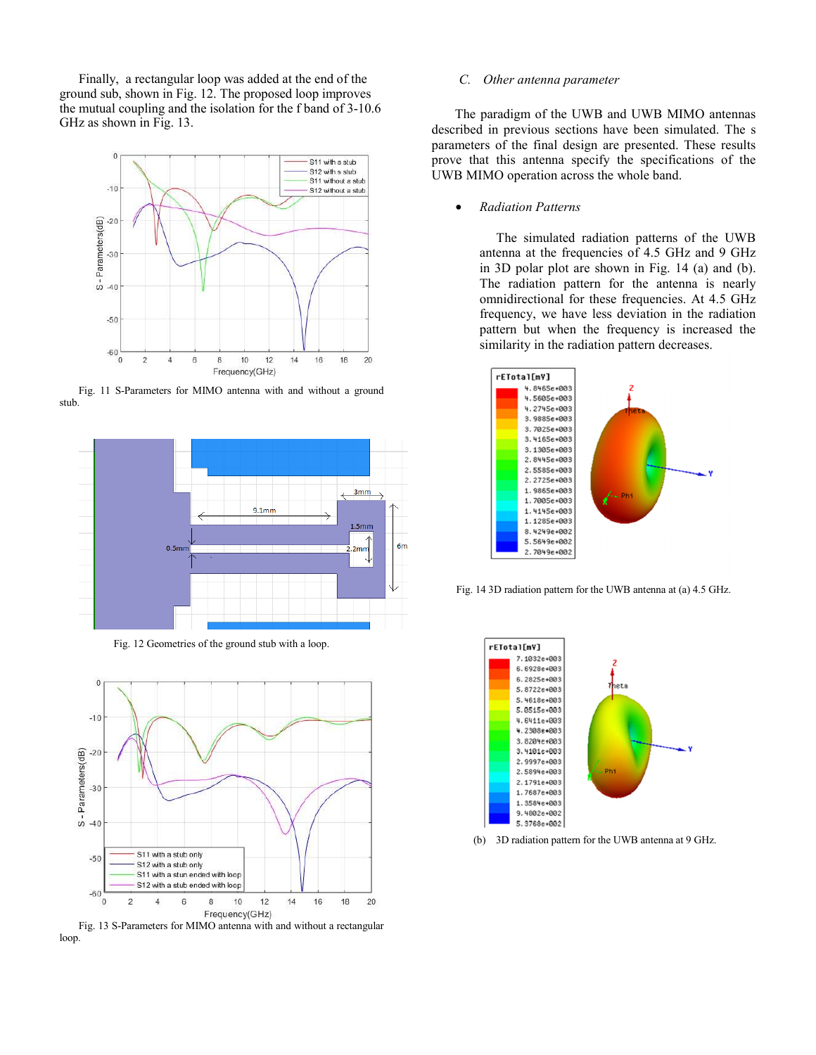Finally, a rectangular loop was added at the end of the ground sub, shown in Fig. 12. The proposed loop improves the mutual coupling and the isolation for the f band of 3-10.6 GHz as shown in Fig. 13.







Fig. 12 Geometries of the ground stub with a loop.



Fig. 13 S-Parameters for MIMO antenna with and without a rectangular loop.

## *C. Other antenna parameter*

 The paradigm of the UWB and UWB MIMO antennas described in previous sections have been simulated. The s parameters of the final design are presented. These results prove that this antenna specify the specifications of the UWB MIMO operation across the whole band.

• *Radiation Patterns* 

 The simulated radiation patterns of the UWB antenna at the frequencies of 4.5 GHz and 9 GHz in 3D polar plot are shown in Fig. 14 (a) and (b). The radiation pattern for the antenna is nearly omnidirectional for these frequencies. At 4.5 GHz frequency, we have less deviation in the radiation pattern but when the frequency is increased the similarity in the radiation pattern decreases.



Fig. 14 3D radiation pattern for the UWB antenna at (a) 4.5 GHz.



(b) 3D radiation pattern for the UWB antenna at 9 GHz.